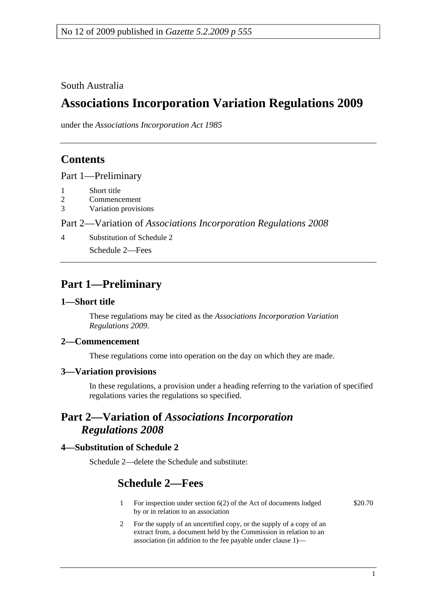South Australia

# **Associations Incorporation Variation Regulations 2009**

under the *Associations Incorporation Act 1985*

### **Contents**

Part 1—Preliminary

- 1 Short title
- 2 Commencement
- 3 Variation provisions

Part 2—Variation of *Associations Incorporation Regulations 2008*

4 Substitution of Schedule 2

Schedule 2—Fees

### **Part 1—Preliminary**

#### **1—Short title**

These regulations may be cited as the *Associations Incorporation Variation Regulations 2009*.

#### **2—Commencement**

These regulations come into operation on the day on which they are made.

#### **3—Variation provisions**

In these regulations, a provision under a heading referring to the variation of specified regulations varies the regulations so specified.

### **Part 2—Variation of** *Associations Incorporation Regulations 2008*

#### **4—Substitution of Schedule 2**

Schedule 2—delete the Schedule and substitute:

## **Schedule 2—Fees**

- 1 For inspection under section 6(2) of the Act of documents lodged by or in relation to an association
- 2 For the supply of an uncertified copy, or the supply of a copy of an extract from, a document held by the Commission in relation to an association (in addition to the fee payable under clause 1)—

\$20.70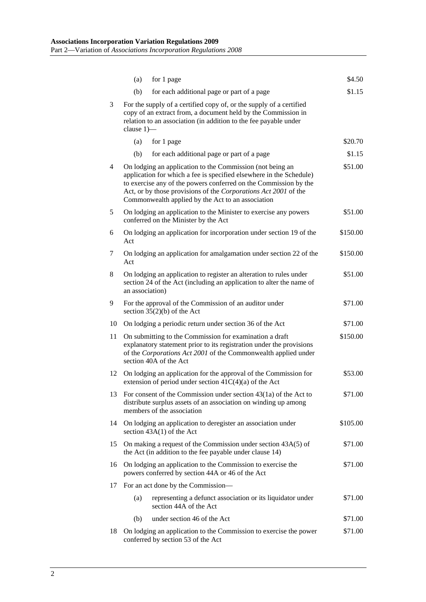|    | (a)                                                                                                                                                                                                                                                                                                                                     | for 1 page                                                                           | \$4.50   |  |  |
|----|-----------------------------------------------------------------------------------------------------------------------------------------------------------------------------------------------------------------------------------------------------------------------------------------------------------------------------------------|--------------------------------------------------------------------------------------|----------|--|--|
|    | (b)                                                                                                                                                                                                                                                                                                                                     | for each additional page or part of a page                                           | \$1.15   |  |  |
| 3  | For the supply of a certified copy of, or the supply of a certified<br>copy of an extract from, a document held by the Commission in<br>relation to an association (in addition to the fee payable under<br>clause $1$ ) $-$                                                                                                            |                                                                                      |          |  |  |
|    | (a)                                                                                                                                                                                                                                                                                                                                     | for 1 page                                                                           | \$20.70  |  |  |
|    | (b)                                                                                                                                                                                                                                                                                                                                     | for each additional page or part of a page                                           | \$1.15   |  |  |
| 4  | On lodging an application to the Commission (not being an<br>\$51.00<br>application for which a fee is specified elsewhere in the Schedule)<br>to exercise any of the powers conferred on the Commission by the<br>Act, or by those provisions of the Corporations Act 2001 of the<br>Commonwealth applied by the Act to an association |                                                                                      |          |  |  |
| 5  | \$51.00<br>On lodging an application to the Minister to exercise any powers<br>conferred on the Minister by the Act                                                                                                                                                                                                                     |                                                                                      |          |  |  |
| 6  | On lodging an application for incorporation under section 19 of the<br>\$150.00<br>Act                                                                                                                                                                                                                                                  |                                                                                      |          |  |  |
| 7  | On lodging an application for amalgamation under section 22 of the<br>\$150.00<br>Act                                                                                                                                                                                                                                                   |                                                                                      |          |  |  |
| 8  | On lodging an application to register an alteration to rules under<br>\$51.00<br>section 24 of the Act (including an application to alter the name of<br>an association)                                                                                                                                                                |                                                                                      |          |  |  |
| 9  | For the approval of the Commission of an auditor under<br>section $35(2)(b)$ of the Act                                                                                                                                                                                                                                                 |                                                                                      |          |  |  |
| 10 |                                                                                                                                                                                                                                                                                                                                         | On lodging a periodic return under section 36 of the Act                             | \$71.00  |  |  |
| 11 | On submitting to the Commission for examination a draft<br>\$150.00<br>explanatory statement prior to its registration under the provisions<br>of the Corporations Act 2001 of the Commonwealth applied under<br>section 40A of the Act                                                                                                 |                                                                                      |          |  |  |
| 12 | On lodging an application for the approval of the Commission for<br>extension of period under section $41C(4)(a)$ of the Act                                                                                                                                                                                                            |                                                                                      |          |  |  |
| 13 | For consent of the Commission under section 43(1a) of the Act to<br>\$71.00<br>distribute surplus assets of an association on winding up among<br>members of the association                                                                                                                                                            |                                                                                      |          |  |  |
| 14 | On lodging an application to deregister an association under<br>section $43A(1)$ of the Act                                                                                                                                                                                                                                             |                                                                                      | \$105.00 |  |  |
| 15 | On making a request of the Commission under section $43A(5)$ of<br>\$71.00<br>the Act (in addition to the fee payable under clause 14)                                                                                                                                                                                                  |                                                                                      |          |  |  |
| 16 | On lodging an application to the Commission to exercise the<br>\$71.00<br>powers conferred by section 44A or 46 of the Act                                                                                                                                                                                                              |                                                                                      |          |  |  |
| 17 |                                                                                                                                                                                                                                                                                                                                         | For an act done by the Commission—                                                   |          |  |  |
|    | (a)                                                                                                                                                                                                                                                                                                                                     | representing a defunct association or its liquidator under<br>section 44A of the Act | \$71.00  |  |  |
|    | (b)                                                                                                                                                                                                                                                                                                                                     | under section 46 of the Act                                                          | \$71.00  |  |  |
| 18 | On lodging an application to the Commission to exercise the power<br>\$71.00<br>conferred by section 53 of the Act                                                                                                                                                                                                                      |                                                                                      |          |  |  |